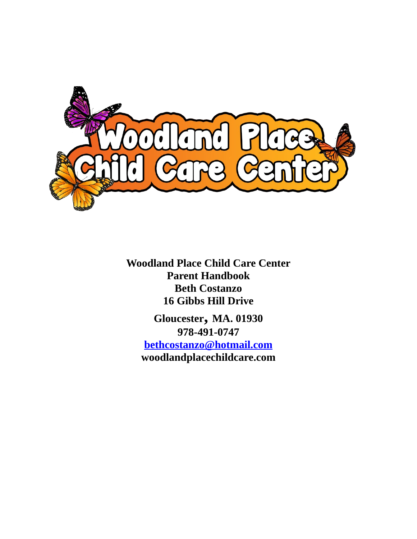

**Woodland Place Child Care Center Parent Handbook Beth Costanzo 16 Gibbs Hill Drive**

**Gloucester, MA. 01930 978-491-0747 [bethcostanzo@hotmail.com](mailto:bethcostanzo@hotmail.com) woodlandplacechildcare.com**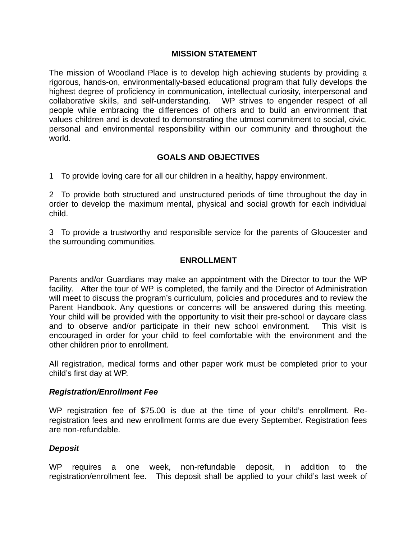## **MISSION STATEMENT**

The mission of Woodland Place is to develop high achieving students by providing a rigorous, hands-on, environmentally-based educational program that fully develops the highest degree of proficiency in communication, intellectual curiosity, interpersonal and collaborative skills, and self-understanding. WP strives to engender respect of all people while embracing the differences of others and to build an environment that values children and is devoted to demonstrating the utmost commitment to social, civic, personal and environmental responsibility within our community and throughout the world.

# **GOALS AND OBJECTIVES**

1 To provide loving care for all our children in a healthy, happy environment.

2 To provide both structured and unstructured periods of time throughout the day in order to develop the maximum mental, physical and social growth for each individual child.

3 To provide a trustworthy and responsible service for the parents of Gloucester and the surrounding communities.   

### **ENROLLMENT**

Parents and/or Guardians may make an appointment with the Director to tour the WP facility. After the tour of WP is completed, the family and the Director of Administration will meet to discuss the program's curriculum, policies and procedures and to review the Parent Handbook. Any questions or concerns will be answered during this meeting. Your child will be provided with the opportunity to visit their pre-school or daycare class and to observe and/or participate in their new school environment. This visit is encouraged in order for your child to feel comfortable with the environment and the other children prior to enrollment.

All registration, medical forms and other paper work must be completed prior to your child's first day at WP.

### *Registration/Enrollment Fee*

WP registration fee of \$75.00 is due at the time of your child's enrollment. Reregistration fees and new enrollment forms are due every September. Registration fees are non-refundable.

### *Deposit*

WP requires a one week, non-refundable deposit, in addition to the registration/enrollment fee. This deposit shall be applied to your child's last week of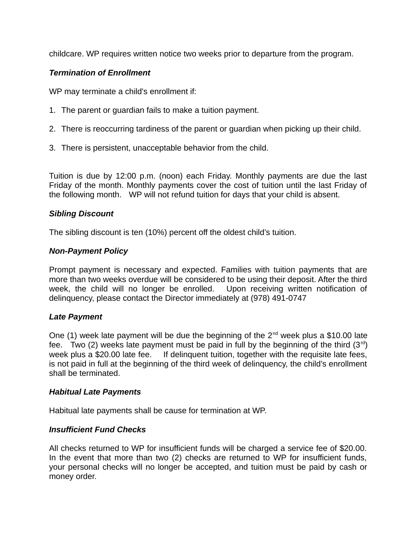childcare. WP requires written notice two weeks prior to departure from the program.

# *Termination of Enrollment*

WP may terminate a child's enrollment if:

- 1. The parent or guardian fails to make a tuition payment.
- 2. There is reoccurring tardiness of the parent or guardian when picking up their child.
- 3. There is persistent, unacceptable behavior from the child.

Tuition is due by 12:00 p.m. (noon) each Friday. Monthly payments are due the last Friday of the month. Monthly payments cover the cost of tuition until the last Friday of the following month. WP will not refund tuition for days that your child is absent.

# *Sibling Discount*

The sibling discount is ten (10%) percent off the oldest child's tuition.

## *Non-Payment Policy*

Prompt payment is necessary and expected. Families with tuition payments that are more than two weeks overdue will be considered to be using their deposit. After the third week, the child will no longer be enrolled. Upon receiving written notification of delinquency, please contact the Director immediately at (978) 491-0747

# *Late Payment*

One (1) week late payment will be due the beginning of the  $2^{nd}$  week plus a \$10.00 late fee. Two (2) weeks late payment must be paid in full by the beginning of the third  $(3<sup>rd</sup>)$ week plus a \$20.00 late fee. If delinguent tuition, together with the requisite late fees, is not paid in full at the beginning of the third week of delinquency, the child's enrollment shall be terminated.

### *Habitual Late Payments*

Habitual late payments shall be cause for termination at WP.

# *Insufficient Fund Checks*

All checks returned to WP for insufficient funds will be charged a service fee of \$20.00. In the event that more than two (2) checks are returned to WP for insufficient funds, your personal checks will no longer be accepted, and tuition must be paid by cash or money order.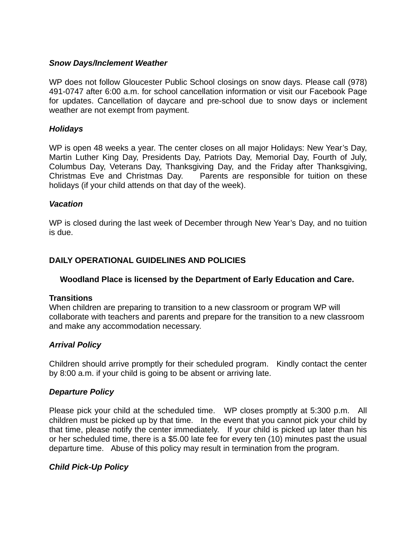# *Snow Days/Inclement Weather*

WP does not follow Gloucester Public School closings on snow days. Please call (978) 491-0747 after 6:00 a.m. for school cancellation information or visit our Facebook Page for updates. Cancellation of daycare and pre-school due to snow days or inclement weather are not exempt from payment.

## *Holidays*

WP is open 48 weeks a year. The center closes on all major Holidays: New Year's Day, Martin Luther King Day, Presidents Day, Patriots Day, Memorial Day, Fourth of July, Columbus Day, Veterans Day, Thanksgiving Day, and the Friday after Thanksgiving, Christmas Eve and Christmas Day. Parents are responsible for tuition on these holidays (if your child attends on that day of the week).

### *Vacation*

WP is closed during the last week of December through New Year's Day, and no tuition is due.

# **DAILY OPERATIONAL GUIDELINES AND POLICIES**

# **Woodland Place is licensed by the Department of Early Education and Care.**

### **Transitions**

When children are preparing to transition to a new classroom or program WP will collaborate with teachers and parents and prepare for the transition to a new classroom and make any accommodation necessary.

# *Arrival Policy*

Children should arrive promptly for their scheduled program. Kindly contact the center by 8:00 a.m. if your child is going to be absent or arriving late.

# *Departure Policy*

Please pick your child at the scheduled time. WP closes promptly at 5:300 p.m. All children must be picked up by that time. In the event that you cannot pick your child by that time, please notify the center immediately. If your child is picked up later than his or her scheduled time, there is a \$5.00 late fee for every ten (10) minutes past the usual departure time. Abuse of this policy may result in termination from the program.

### *Child Pick-Up Policy*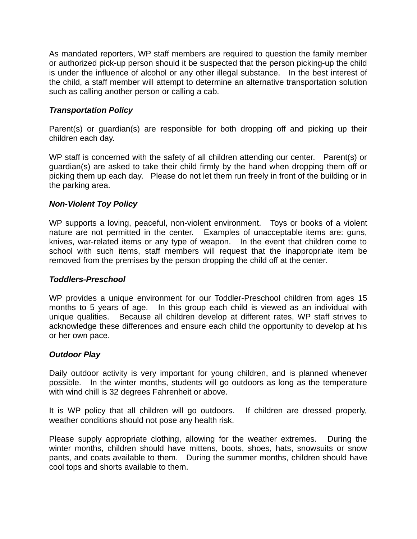As mandated reporters, WP staff members are required to question the family member or authorized pick-up person should it be suspected that the person picking-up the child is under the influence of alcohol or any other illegal substance. In the best interest of the child, a staff member will attempt to determine an alternative transportation solution such as calling another person or calling a cab.   

# *Transportation Policy*

Parent(s) or guardian(s) are responsible for both dropping off and picking up their children each day.

WP staff is concerned with the safety of all children attending our center. Parent(s) or guardian(s) are asked to take their child firmly by the hand when dropping them off or picking them up each day. Please do not let them run freely in front of the building or in the parking area.

# *Non-Violent Toy Policy*

WP supports a loving, peaceful, non-violent environment. Toys or books of a violent nature are not permitted in the center. Examples of unacceptable items are: guns, knives, war-related items or any type of weapon. In the event that children come to school with such items, staff members will request that the inappropriate item be removed from the premises by the person dropping the child off at the center.

# *Toddlers-Preschool*

WP provides a unique environment for our Toddler-Preschool children from ages 15 months to 5 years of age. In this group each child is viewed as an individual with unique qualities. Because all children develop at different rates, WP staff strives to acknowledge these differences and ensure each child the opportunity to develop at his or her own pace.   

# *Outdoor Play*

Daily outdoor activity is very important for young children, and is planned whenever possible. In the winter months, students will go outdoors as long as the temperature with wind chill is 32 degrees Fahrenheit or above.

It is WP policy that all children will go outdoors. If children are dressed properly, weather conditions should not pose any health risk.

Please supply appropriate clothing, allowing for the weather extremes. During the winter months, children should have mittens, boots, shoes, hats, snowsuits or snow pants, and coats available to them. During the summer months, children should have cool tops and shorts available to them.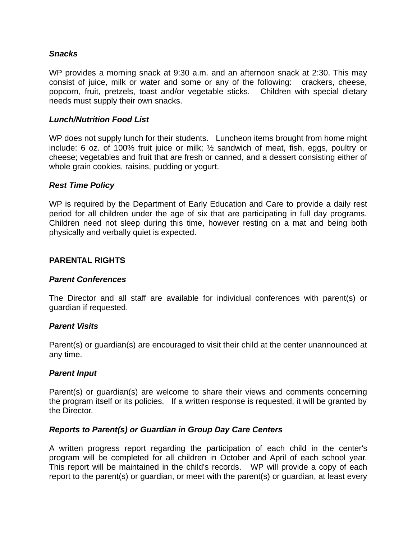## *Snacks*

WP provides a morning snack at 9:30 a.m. and an afternoon snack at 2:30. This may consist of juice, milk or water and some or any of the following: crackers, cheese, popcorn, fruit, pretzels, toast and/or vegetable sticks. Children with special dietary needs must supply their own snacks.

### *Lunch/Nutrition Food List*

WP does not supply lunch for their students. Luncheon items brought from home might include: 6 oz. of 100% fruit juice or milk; ½ sandwich of meat, fish, eggs, poultry or cheese; vegetables and fruit that are fresh or canned, and a dessert consisting either of whole grain cookies, raisins, pudding or yogurt.

### *Rest Time Policy*

WP is required by the Department of Early Education and Care to provide a daily rest period for all children under the age of six that are participating in full day programs. Children need not sleep during this time, however resting on a mat and being both physically and verbally quiet is expected.

### **PARENTAL RIGHTS**

#### *Parent Conferences*

The Director and all staff are available for individual conferences with parent(s) or guardian if requested.

### *Parent Visits*

Parent(s) or guardian(s) are encouraged to visit their child at the center unannounced at any time.

### *Parent Input*

Parent(s) or guardian(s) are welcome to share their views and comments concerning the program itself or its policies. If a written response is requested, it will be granted by the Director.

### *Reports to Parent(s) or Guardian in Group Day Care Centers*

A written progress report regarding the participation of each child in the center's program will be completed for all children in October and April of each school year. This report will be maintained in the child's records. WP will provide a copy of each report to the parent(s) or guardian, or meet with the parent(s) or guardian, at least every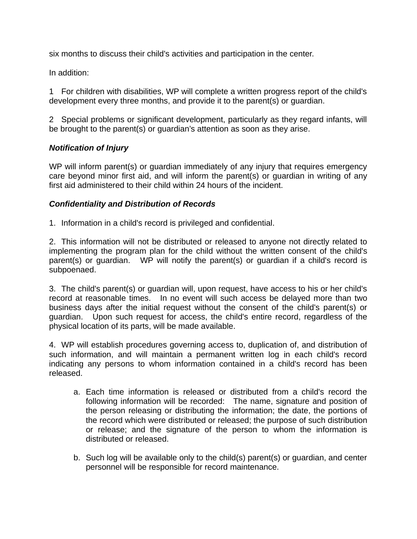six months to discuss their child's activities and participation in the center.

In addition:

1 For children with disabilities, WP will complete a written progress report of the child's development every three months, and provide it to the parent(s) or guardian.

2 Special problems or significant development, particularly as they regard infants, will be brought to the parent(s) or guardian's attention as soon as they arise.

# *Notification of Injury*

WP will inform parent(s) or quardian immediately of any injury that requires emergency care beyond minor first aid, and will inform the parent(s) or guardian in writing of any first aid administered to their child within 24 hours of the incident.

# *Confidentiality and Distribution of Records*

1. Information in a child's record is privileged and confidential.

2. This information will not be distributed or released to anyone not directly related to implementing the program plan for the child without the written consent of the child's parent(s) or quardian. WP will notify the parent(s) or quardian if a child's record is subpoenaed.

3. The child's parent(s) or guardian will, upon request, have access to his or her child's record at reasonable times. In no event will such access be delayed more than two business days after the initial request without the consent of the child's parent(s) or guardian. Upon such request for access, the child's entire record, regardless of the physical location of its parts, will be made available.

4. WP will establish procedures governing access to, duplication of, and distribution of such information, and will maintain a permanent written log in each child's record indicating any persons to whom information contained in a child's record has been released.

- a. Each time information is released or distributed from a child's record the following information will be recorded: The name, signature and position of the person releasing or distributing the information; the date, the portions of the record which were distributed or released; the purpose of such distribution or release; and the signature of the person to whom the information is distributed or released.
- b. Such log will be available only to the child(s) parent(s) or guardian, and center personnel will be responsible for record maintenance.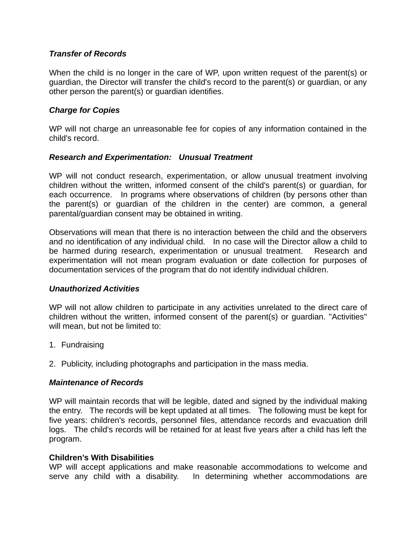# *Transfer of Records*

When the child is no longer in the care of WP, upon written request of the parent(s) or guardian, the Director will transfer the child's record to the parent(s) or guardian, or any other person the parent(s) or guardian identifies.

# *Charge for Copies*

WP will not charge an unreasonable fee for copies of any information contained in the child's record.

# *Research and Experimentation:    Unusual Treatment*

WP will not conduct research, experimentation, or allow unusual treatment involving children without the written, informed consent of the child's parent(s) or guardian, for each occurrence. In programs where observations of children (by persons other than the parent(s) or guardian of the children in the center) are common, a general parental/guardian consent may be obtained in writing.

Observations will mean that there is no interaction between the child and the observers and no identification of any individual child. In no case will the Director allow a child to be harmed during research, experimentation or unusual treatment. Research and experimentation will not mean program evaluation or date collection for purposes of documentation services of the program that do not identify individual children.

# *Unauthorized Activities*

WP will not allow children to participate in any activities unrelated to the direct care of children without the written, informed consent of the parent(s) or guardian. "Activities" will mean, but not be limited to:

- 1. Fundraising
- 2. Publicity, including photographs and participation in the mass media.

# *Maintenance of Records*

WP will maintain records that will be legible, dated and signed by the individual making the entry. The records will be kept updated at all times. The following must be kept for five years: children's records, personnel files, attendance records and evacuation drill logs. The child's records will be retained for at least five years after a child has left the program.

# **Children's With Disabilities**

WP will accept applications and make reasonable accommodations to welcome and serve any child with a disability. In determining whether accommodations are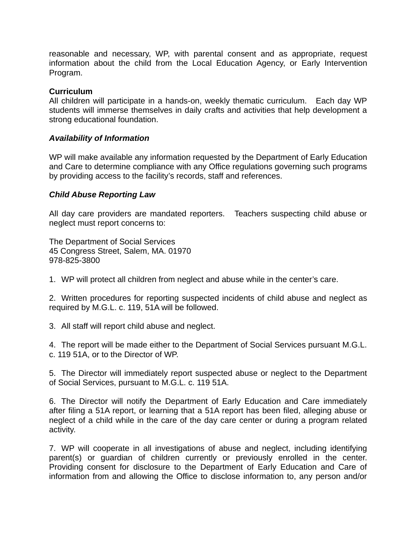reasonable and necessary, WP, with parental consent and as appropriate, request information about the child from the Local Education Agency, or Early Intervention Program.

## **Curriculum**

All children will participate in a hands-on, weekly thematic curriculum. Each day WP students will immerse themselves in daily crafts and activities that help development a strong educational foundation.   

## *Availability of Information*

WP will make available any information requested by the Department of Early Education and Care to determine compliance with any Office regulations governing such programs by providing access to the facility's records, staff and references.

## *Child Abuse Reporting Law*

All day care providers are mandated reporters. Teachers suspecting child abuse or neglect must report concerns to:

The Department of Social Services 45 Congress Street, Salem, MA. 01970 978-825-3800

1. WP will protect all children from neglect and abuse while in the center's care.

2. Written procedures for reporting suspected incidents of child abuse and neglect as required by M.G.L. c. 119, 51A will be followed.

3. All staff will report child abuse and neglect.

4. The report will be made either to the Department of Social Services pursuant M.G.L. c. 119 51A, or to the Director of WP.

5. The Director will immediately report suspected abuse or neglect to the Department of Social Services, pursuant to M.G.L. c. 119 51A.

6. The Director will notify the Department of Early Education and Care immediately after filing a 51A report, or learning that a 51A report has been filed, alleging abuse or neglect of a child while in the care of the day care center or during a program related activity.

7. WP will cooperate in all investigations of abuse and neglect, including identifying parent(s) or guardian of children currently or previously enrolled in the center. Providing consent for disclosure to the Department of Early Education and Care of information from and allowing the Office to disclose information to, any person and/or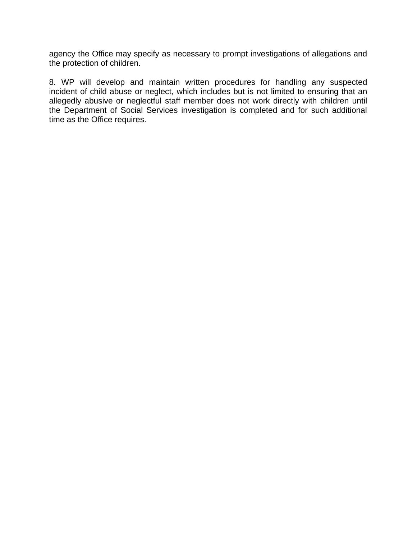agency the Office may specify as necessary to prompt investigations of allegations and the protection of children.

8. WP will develop and maintain written procedures for handling any suspected incident of child abuse or neglect, which includes but is not limited to ensuring that an allegedly abusive or neglectful staff member does not work directly with children until the Department of Social Services investigation is completed and for such additional time as the Office requires.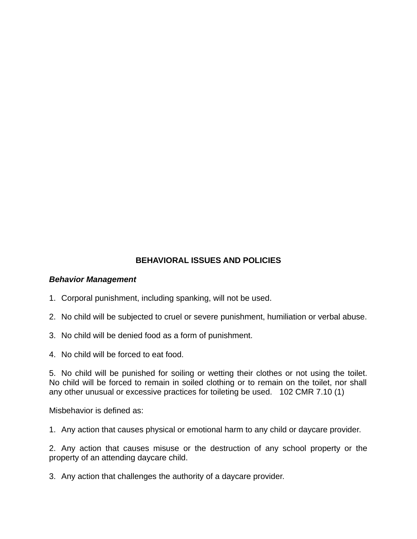# **BEHAVIORAL ISSUES AND POLICIES**

### *Behavior Management*

- 1. Corporal punishment, including spanking, will not be used.
- 2. No child will be subjected to cruel or severe punishment, humiliation or verbal abuse.
- 3. No child will be denied food as a form of punishment.
- 4. No child will be forced to eat food.

5. No child will be punished for soiling or wetting their clothes or not using the toilet. No child will be forced to remain in soiled clothing or to remain on the toilet, nor shall any other unusual or excessive practices for toileting be used.  $102$  CMR 7.10 (1)

Misbehavior is defined as:

1. Any action that causes physical or emotional harm to any child or daycare provider.

2. Any action that causes misuse or the destruction of any school property or the property of an attending daycare child.

3. Any action that challenges the authority of a daycare provider.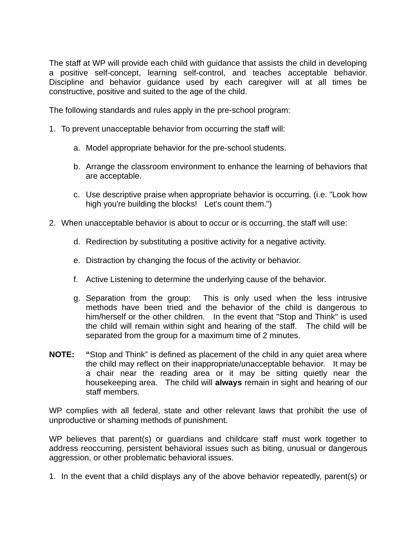The staff at WP will provide each child with guidance that assists the child in developing a positive self-concept, learning self-control, and teaches acceptable behavior. Discipline and behavior guidance used by each caregiver will at all times be constructive, positive and suited to the age of the child.

The following standards and rules apply in the pre-school program:

- 1. To prevent unacceptable behavior from occurring the staff will:
	- a. Model appropriate behavior for the pre-school students.
	- b. Arrange the classroom environment to enhance the learning of behaviors that are acceptable.
	- c. Use descriptive praise when appropriate behavior is occurring. (i.e. "Look how high you're building the blocks! Let's count them.")
- 2. When unacceptable behavior is about to occur or is occurring, the staff will use:
	- d. Redirection by substituting a positive activity for a negative activity.
	- e. Distraction by changing the focus of the activity or behavior.
	- f. Active Listening to determine the underlying cause of the behavior.
	- g. Separation from the group: This is only used when the less intrusive methods have been tried and the behavior of the child is dangerous to him/herself or the other children. In the event that "Stop and Think" is used the child will remain within sight and hearing of the staff. The child will be separated from the group for a maximum time of 2 minutes.
- **NOTE: "**Stop and Think" is defined as placement of the child in any quiet area where the child may reflect on their inappropriate/unacceptable behavior. It may be a chair near the reading area or it may be sitting quietly near the housekeeping area. The child will **always** remain in sight and hearing of our staff members.

WP complies with all federal, state and other relevant laws that prohibit the use of unproductive or shaming methods of punishment.

WP believes that parent(s) or guardians and childcare staff must work together to address reoccurring, persistent behavioral issues such as biting, unusual or dangerous aggression, or other problematic behavioral issues.   

1. In the event that a child displays any of the above behavior repeatedly, parent(s) or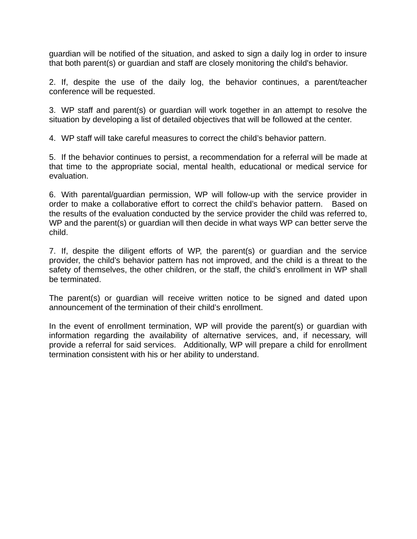guardian will be notified of the situation, and asked to sign a daily log in order to insure that both parent(s) or guardian and staff are closely monitoring the child's behavior.

2. If, despite the use of the daily log, the behavior continues, a parent/teacher conference will be requested.

3. WP staff and parent(s) or guardian will work together in an attempt to resolve the situation by developing a list of detailed objectives that will be followed at the center.

4. WP staff will take careful measures to correct the child's behavior pattern.

5. If the behavior continues to persist, a recommendation for a referral will be made at that time to the appropriate social, mental health, educational or medical service for evaluation.

6. With parental/guardian permission, WP will follow-up with the service provider in order to make a collaborative effort to correct the child's behavior pattern. Based on the results of the evaluation conducted by the service provider the child was referred to, WP and the parent(s) or guardian will then decide in what ways WP can better serve the child.

7. If, despite the diligent efforts of WP, the parent(s) or guardian and the service provider, the child's behavior pattern has not improved, and the child is a threat to the safety of themselves, the other children, or the staff, the child's enrollment in WP shall be terminated.

The parent(s) or guardian will receive written notice to be signed and dated upon announcement of the termination of their child's enrollment.

In the event of enrollment termination, WP will provide the parent(s) or guardian with information regarding the availability of alternative services, and, if necessary, will provide a referral for said services. Additionally, WP will prepare a child for enrollment termination consistent with his or her ability to understand.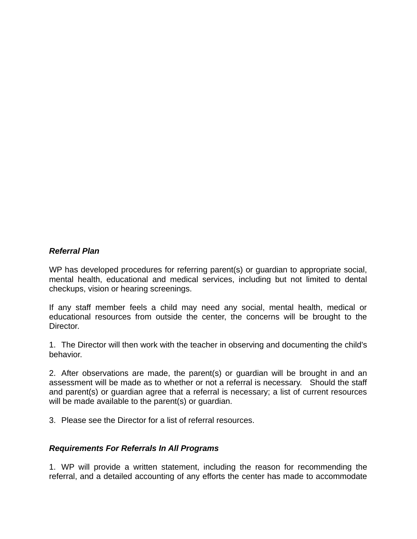# *Referral Plan*

WP has developed procedures for referring parent(s) or guardian to appropriate social, mental health, educational and medical services, including but not limited to dental checkups, vision or hearing screenings.

If any staff member feels a child may need any social, mental health, medical or educational resources from outside the center, the concerns will be brought to the Director.

1. The Director will then work with the teacher in observing and documenting the child's behavior.

2. After observations are made, the parent(s) or guardian will be brought in and an assessment will be made as to whether or not a referral is necessary. Should the staff and parent(s) or guardian agree that a referral is necessary; a list of current resources will be made available to the parent(s) or guardian.

3. Please see the Director for a list of referral resources.

### *Requirements For Referrals In All Programs*

1. WP will provide a written statement, including the reason for recommending the referral, and a detailed accounting of any efforts the center has made to accommodate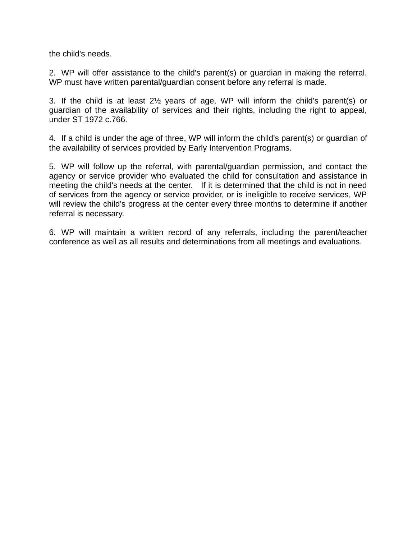the child's needs.

2. WP will offer assistance to the child's parent(s) or guardian in making the referral. WP must have written parental/guardian consent before any referral is made.

3. If the child is at least 2½ years of age, WP will inform the child's parent(s) or guardian of the availability of services and their rights, including the right to appeal, under ST 1972 c.766.

4. If a child is under the age of three, WP will inform the child's parent(s) or guardian of the availability of services provided by Early Intervention Programs.

5. WP will follow up the referral, with parental/guardian permission, and contact the agency or service provider who evaluated the child for consultation and assistance in meeting the child's needs at the center. If it is determined that the child is not in need of services from the agency or service provider, or is ineligible to receive services, WP will review the child's progress at the center every three months to determine if another referral is necessary.

6. WP will maintain a written record of any referrals, including the parent/teacher conference as well as all results and determinations from all meetings and evaluations.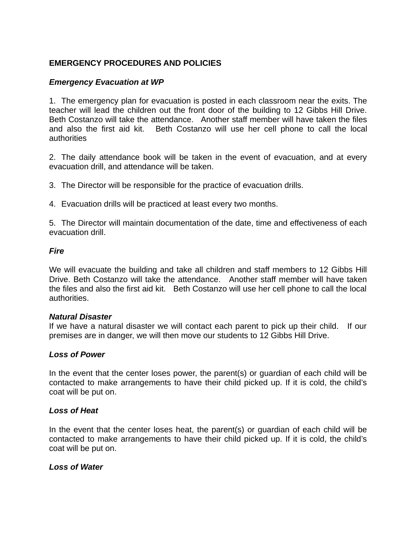# **EMERGENCY PROCEDURES AND POLICIES**

## *Emergency Evacuation at WP*

1. The emergency plan for evacuation is posted in each classroom near the exits. The teacher will lead the children out the front door of the building to 12 Gibbs Hill Drive. Beth Costanzo will take the attendance. Another staff member will have taken the files and also the first aid kit. Beth Costanzo will use her cell phone to call the local authorities

2. The daily attendance book will be taken in the event of evacuation, and at every evacuation drill, and attendance will be taken.

3. The Director will be responsible for the practice of evacuation drills.

4. Evacuation drills will be practiced at least every two months.

5. The Director will maintain documentation of the date, time and effectiveness of each evacuation drill.   

## *Fire*

We will evacuate the building and take all children and staff members to 12 Gibbs Hill Drive. Beth Costanzo will take the attendance. Another staff member will have taken the files and also the first aid kit. Beth Costanzo will use her cell phone to call the local authorities.   

### *Natural Disaster*

If we have a natural disaster we will contact each parent to pick up their child. If our premises are in danger, we will then move our students to 12 Gibbs Hill Drive.

### *Loss of Power*

In the event that the center loses power, the parent(s) or guardian of each child will be contacted to make arrangements to have their child picked up. If it is cold, the child's coat will be put on.

### *Loss of Heat*

In the event that the center loses heat, the parent(s) or guardian of each child will be contacted to make arrangements to have their child picked up. If it is cold, the child's coat will be put on.

### *Loss of Water*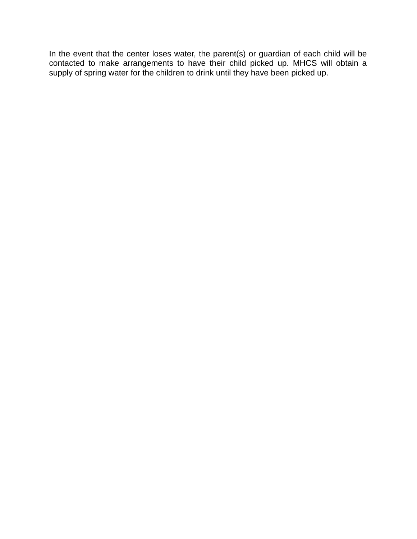In the event that the center loses water, the parent(s) or guardian of each child will be contacted to make arrangements to have their child picked up. MHCS will obtain a supply of spring water for the children to drink until they have been picked up.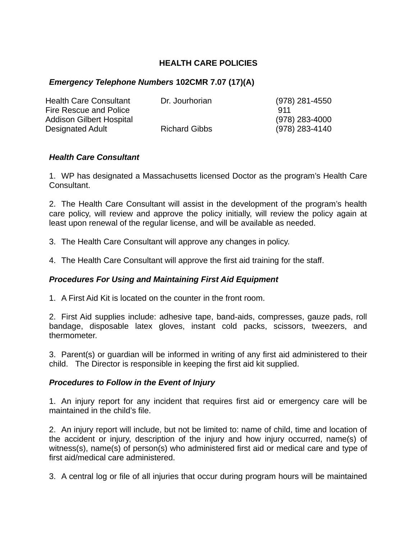# **HEALTH CARE POLICIES**

# *Emergency Telephone Numbers* **102CMR 7.07 (17)(A)**

| <b>Health Care Consultant</b> | Dr. Jourhorian       | (978) 281-4550 |
|-------------------------------|----------------------|----------------|
| Fire Rescue and Police        |                      | 911            |
| Addison Gilbert Hospital      |                      | (978) 283-4000 |
| Designated Adult              | <b>Richard Gibbs</b> | (978) 283-4140 |

## *Health Care Consultant*

1. WP has designated a Massachusetts licensed Doctor as the program's Health Care Consultant.

2. The Health Care Consultant will assist in the development of the program's health care policy, will review and approve the policy initially, will review the policy again at least upon renewal of the regular license, and will be available as needed.

- 3. The Health Care Consultant will approve any changes in policy.
- 4. The Health Care Consultant will approve the first aid training for the staff.

# *Procedures For Using and Maintaining First Aid Equipment*

1. A First Aid Kit is located on the counter in the front room.

2. First Aid supplies include: adhesive tape, band-aids, compresses, gauze pads, roll bandage, disposable latex gloves, instant cold packs, scissors, tweezers, and thermometer.

3. Parent(s) or guardian will be informed in writing of any first aid administered to their child. The Director is responsible in keeping the first aid kit supplied.

### *Procedures to Follow in the Event of Injury*

1. An injury report for any incident that requires first aid or emergency care will be maintained in the child's file.

2. An injury report will include, but not be limited to: name of child, time and location of the accident or injury, description of the injury and how injury occurred, name(s) of witness(s), name(s) of person(s) who administered first aid or medical care and type of first aid/medical care administered.

3. A central log or file of all injuries that occur during program hours will be maintained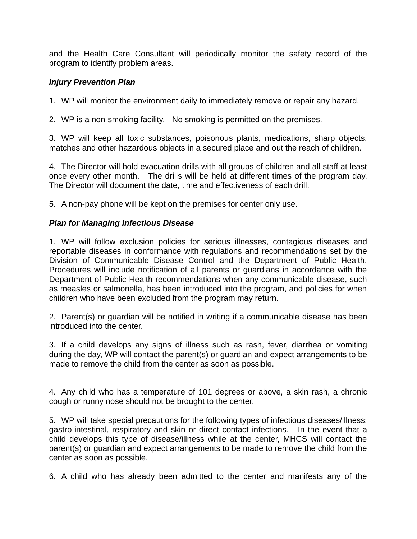and the Health Care Consultant will periodically monitor the safety record of the program to identify problem areas.

# *Injury Prevention Plan*

1. WP will monitor the environment daily to immediately remove or repair any hazard.

2. WP is a non-smoking facility. No smoking is permitted on the premises.

3. WP will keep all toxic substances, poisonous plants, medications, sharp objects, matches and other hazardous objects in a secured place and out the reach of children.

4. The Director will hold evacuation drills with all groups of children and all staff at least once every other month. The drills will be held at different times of the program day. The Director will document the date, time and effectiveness of each drill.

5. A non-pay phone will be kept on the premises for center only use.

# *Plan for Managing Infectious Disease*

1. WP will follow exclusion policies for serious illnesses, contagious diseases and reportable diseases in conformance with regulations and recommendations set by the Division of Communicable Disease Control and the Department of Public Health. Procedures will include notification of all parents or guardians in accordance with the Department of Public Health recommendations when any communicable disease, such as measles or salmonella, has been introduced into the program, and policies for when children who have been excluded from the program may return.

2. Parent(s) or guardian will be notified in writing if a communicable disease has been introduced into the center.   

3. If a child develops any signs of illness such as rash, fever, diarrhea or vomiting during the day, WP will contact the parent(s) or guardian and expect arrangements to be made to remove the child from the center as soon as possible.

4. Any child who has a temperature of 101 degrees or above, a skin rash, a chronic cough or runny nose should not be brought to the center.

5. WP will take special precautions for the following types of infectious diseases/illness: gastro-intestinal, respiratory and skin or direct contact infections. In the event that a child develops this type of disease/illness while at the center, MHCS will contact the parent(s) or guardian and expect arrangements to be made to remove the child from the center as soon as possible.

6. A child who has already been admitted to the center and manifests any of the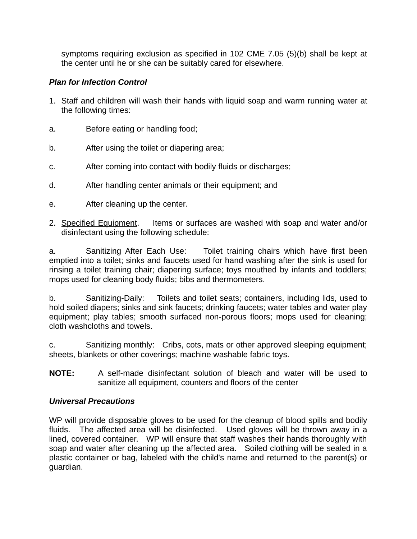symptoms requiring exclusion as specified in 102 CME 7.05 (5)(b) shall be kept at the center until he or she can be suitably cared for elsewhere.

# *Plan for Infection Control*

- 1. Staff and children will wash their hands with liquid soap and warm running water at the following times:
- a. Before eating or handling food;
- b. After using the toilet or diapering area;
- c. After coming into contact with bodily fluids or discharges;
- d. After handling center animals or their equipment; and
- e. After cleaning up the center.
- 2. Specified Equipment. Items or surfaces are washed with soap and water and/or disinfectant using the following schedule:

a. Sanitizing After Each Use: Toilet training chairs which have first been emptied into a toilet; sinks and faucets used for hand washing after the sink is used for rinsing a toilet training chair; diapering surface; toys mouthed by infants and toddlers; mops used for cleaning body fluids; bibs and thermometers.

b. Sanitizing-Daily: Toilets and toilet seats; containers, including lids, used to hold soiled diapers; sinks and sink faucets; drinking faucets; water tables and water play equipment; play tables; smooth surfaced non-porous floors; mops used for cleaning; cloth washcloths and towels.

c. Sanitizing monthly: Cribs, cots, mats or other approved sleeping equipment; sheets, blankets or other coverings; machine washable fabric toys.

**NOTE:** A self-made disinfectant solution of bleach and water will be used to sanitize all equipment, counters and floors of the center

# *Universal Precautions*

WP will provide disposable gloves to be used for the cleanup of blood spills and bodily fluids. The affected area will be disinfected. Used gloves will be thrown away in a lined, covered container. WP will ensure that staff washes their hands thoroughly with soap and water after cleaning up the affected area. Soiled clothing will be sealed in a plastic container or bag, labeled with the child's name and returned to the parent(s) or guardian.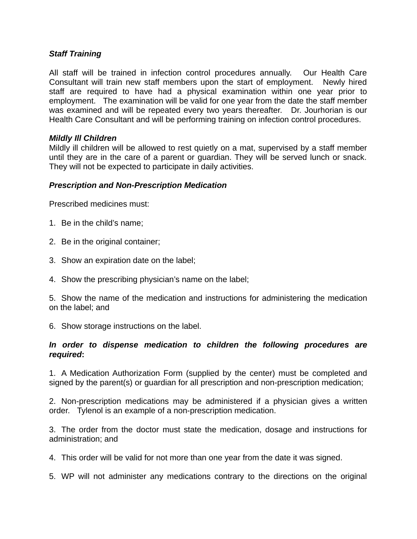# *Staff Training*

All staff will be trained in infection control procedures annually. Our Health Care Consultant will train new staff members upon the start of employment. Newly hired staff are required to have had a physical examination within one year prior to employment. The examination will be valid for one year from the date the staff member was examined and will be repeated every two years thereafter. Dr. Jourhorian is our Health Care Consultant and will be performing training on infection control procedures.

## *Mildly Ill Children*

Mildly ill children will be allowed to rest quietly on a mat, supervised by a staff member until they are in the care of a parent or guardian. They will be served lunch or snack. They will not be expected to participate in daily activities.

## *Prescription and Non-Prescription Medication*

Prescribed medicines must:

- 1. Be in the child's name;
- 2. Be in the original container;
- 3. Show an expiration date on the label;
- 4. Show the prescribing physician's name on the label;

5. Show the name of the medication and instructions for administering the medication on the label; and

6. Show storage instructions on the label.

## *In order to dispense medication to children the following procedures are required***:**

1. A Medication Authorization Form (supplied by the center) must be completed and signed by the parent(s) or guardian for all prescription and non-prescription medication;

2. Non-prescription medications may be administered if a physician gives a written order. Tylenol is an example of a non-prescription medication.

3. The order from the doctor must state the medication, dosage and instructions for administration; and

4. This order will be valid for not more than one year from the date it was signed.

5. WP will not administer any medications contrary to the directions on the original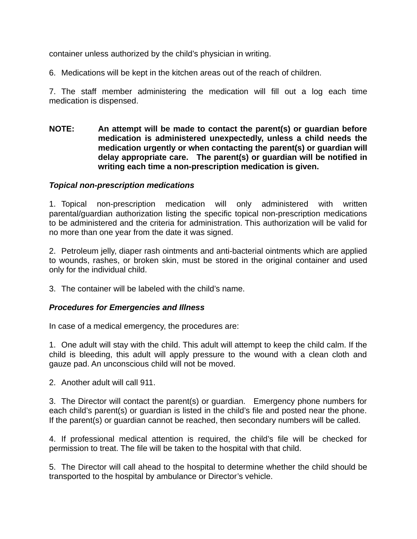container unless authorized by the child's physician in writing.

6. Medications will be kept in the kitchen areas out of the reach of children.

7. The staff member administering the medication will fill out a log each time medication is dispensed.

**NOTE: An attempt will be made to contact the parent(s) or guardian before medication is administered unexpectedly, unless a child needs the medication urgently or when contacting the parent(s) or guardian will** delay appropriate care. The parent(s) or guardian will be notified in writing each time a non-prescription medication is given.

# *Topical non-prescription medications*

1. Topical non-prescription medication will only administered with written parental/guardian authorization listing the specific topical non-prescription medications to be administered and the criteria for administration. This authorization will be valid for no more than one year from the date it was signed.

2. Petroleum jelly, diaper rash ointments and anti-bacterial ointments which are applied to wounds, rashes, or broken skin, must be stored in the original container and used only for the individual child.

3. The container will be labeled with the child's name.

# *Procedures for Emergencies and Illness*

In case of a medical emergency, the procedures are:

1. One adult will stay with the child. This adult will attempt to keep the child calm. If the child is bleeding, this adult will apply pressure to the wound with a clean cloth and gauze pad. An unconscious child will not be moved.

2. Another adult will call 911.

3. The Director will contact the parent(s) or quardian. Emergency phone numbers for each child's parent(s) or guardian is listed in the child's file and posted near the phone. If the parent(s) or guardian cannot be reached, then secondary numbers will be called.

4. If professional medical attention is required, the child's file will be checked for permission to treat. The file will be taken to the hospital with that child.

5. The Director will call ahead to the hospital to determine whether the child should be transported to the hospital by ambulance or Director's vehicle.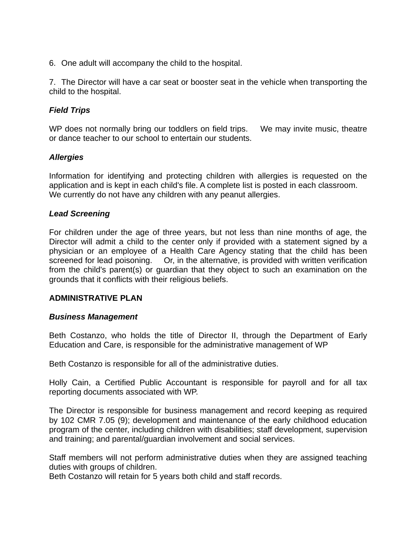6. One adult will accompany the child to the hospital.

7. The Director will have a car seat or booster seat in the vehicle when transporting the child to the hospital.

# *Field Trips*

WP does not normally bring our toddlers on field trips. We may invite music, theatre or dance teacher to our school to entertain our students.

## *Allergies*

Information for identifying and protecting children with allergies is requested on the application and is kept in each child's file. A complete list is posted in each classroom. We currently do not have any children with any peanut allergies.

### *Lead Screening*

For children under the age of three years, but not less than nine months of age, the Director will admit a child to the center only if provided with a statement signed by a physician or an employee of a Health Care Agency stating that the child has been screened for lead poisoning. Or, in the alternative, is provided with written verification from the child's parent(s) or guardian that they object to such an examination on the grounds that it conflicts with their religious beliefs.

### **ADMINISTRATIVE PLAN**

### *Business Management*

Beth Costanzo, who holds the title of Director II, through the Department of Early Education and Care, is responsible for the administrative management of WP

Beth Costanzo is responsible for all of the administrative duties.

Holly Cain, a Certified Public Accountant is responsible for payroll and for all tax reporting documents associated with WP.

The Director is responsible for business management and record keeping as required by 102 CMR 7.05 (9); development and maintenance of the early childhood education program of the center, including children with disabilities; staff development, supervision and training; and parental/guardian involvement and social services.

Staff members will not perform administrative duties when they are assigned teaching duties with groups of children.       

Beth Costanzo will retain for 5 years both child and staff records.